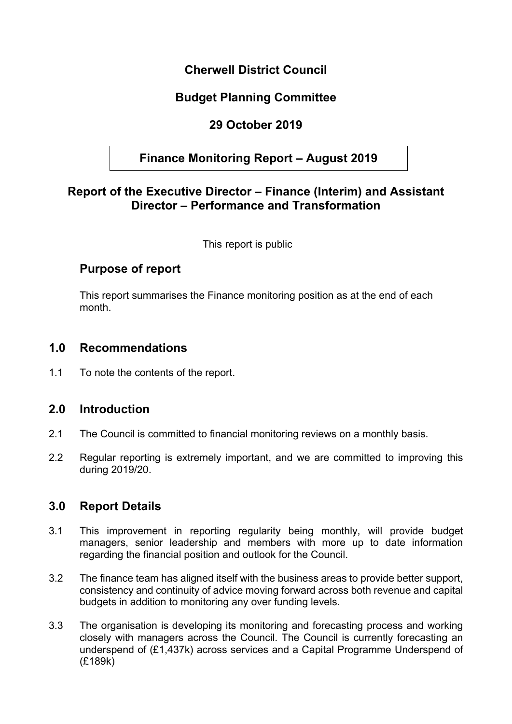## **Cherwell District Council**

# **Budget Planning Committee**

# **29 October 2019**

# **Finance Monitoring Report – August 2019**

### **Report of the Executive Director – Finance (Interim) and Assistant Director – Performance and Transformation**

This report is public

### **Purpose of report**

This report summarises the Finance monitoring position as at the end of each month.

### **1.0 Recommendations**

1.1 To note the contents of the report.

### **2.0 Introduction**

- 2.1 The Council is committed to financial monitoring reviews on a monthly basis.
- 2.2 Regular reporting is extremely important, and we are committed to improving this during 2019/20.

### **3.0 Report Details**

- 3.1 This improvement in reporting regularity being monthly, will provide budget managers, senior leadership and members with more up to date information regarding the financial position and outlook for the Council.
- 3.2 The finance team has aligned itself with the business areas to provide better support, consistency and continuity of advice moving forward across both revenue and capital budgets in addition to monitoring any over funding levels.
- 3.3 The organisation is developing its monitoring and forecasting process and working closely with managers across the Council. The Council is currently forecasting an underspend of (£1,437k) across services and a Capital Programme Underspend of (£189k)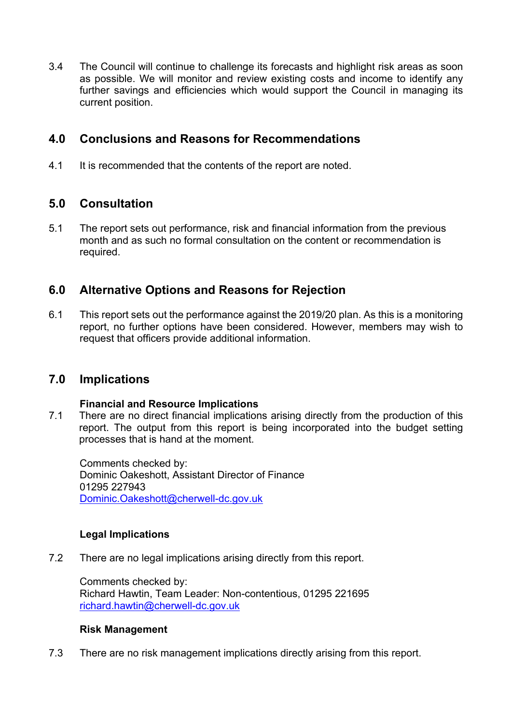3.4 The Council will continue to challenge its forecasts and highlight risk areas as soon as possible. We will monitor and review existing costs and income to identify any further savings and efficiencies which would support the Council in managing its current position.

## **4.0 Conclusions and Reasons for Recommendations**

4.1 It is recommended that the contents of the report are noted.

# **5.0 Consultation**

5.1 The report sets out performance, risk and financial information from the previous month and as such no formal consultation on the content or recommendation is required.

## **6.0 Alternative Options and Reasons for Rejection**

6.1 This report sets out the performance against the 2019/20 plan. As this is a monitoring report, no further options have been considered. However, members may wish to request that officers provide additional information.

## **7.0 Implications**

#### **Financial and Resource Implications**

7.1 There are no direct financial implications arising directly from the production of this report. The output from this report is being incorporated into the budget setting processes that is hand at the moment.

Comments checked by: Dominic Oakeshott, Assistant Director of Finance 01295 227943 [Dominic.Oakeshott@cherwell-dc.gov.uk](mailto:Dominic.Oakeshott@cherwell-dc.gov.uk)

#### **Legal Implications**

7.2 There are no legal implications arising directly from this report.

Comments checked by: Richard Hawtin, Team Leader: Non-contentious, 01295 221695 [richard.hawtin@cherwell-dc.gov.uk](mailto:richard.hawtin@cherwell-dc.gov.uk)

#### **Risk Management**

7.3 There are no risk management implications directly arising from this report.